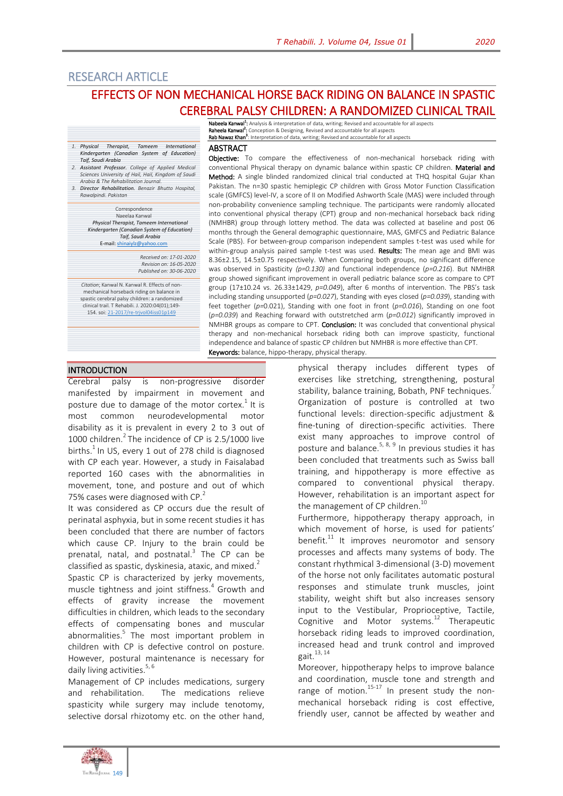# RESEARCH ARTICLE

# EFFECTS OF NON MECHANICAL HORSE BACK RIDING ON BALANCE IN SPASTIC CEREBRAL PALSY CHILDREN: A RANDOMIZED CLINICAL TRAIL

**Nabeela Kanwal<sup>1</sup>:** Analysis & interpretation of data, writing; Revised and accountable for all aspects<br>**Raheela Kanwal<sup>2</sup>:** Conception & Designing, Revised and accountable for all aspects

Rab Nawaz Khan<sup>3</sup>: Interpretation of data, writing; Revised and accountable for all aspects

ABSTRACT

#### *1. Physical Therapist, Tameem International Kindergarten (Canadian System of Education) Taif, Saudi Arabia*

*2. Assistant Professor. College of Applied Medical Sciences University of Hail, Hail, Kingdom of Saudi Arabia & The Rehabilitation Journal.*

*3. Director Rehabilitation. Benazir Bhutto Hospital, Rawalpindi. Pakistan*

# Correspondence

Naeelaa Kanwal *Physical Therapist, Tameem International Kindergarten (Canadian System of Education) Taif, Saudi Arabia* E-mail[: shinaiylz@yahoo.com](mailto:shinaiylz@yahoo.com)

> *Received on: 17-01-2020 Revision on: 16-05-2020 Published on: 30-06-2020*

*Citation*; Kanwal N. Kanwal R. Effects of nonmechanical horseback riding on balance in spastic cerebral palsy children: a randomized plastic der dariti party dinimality.<br>
clinical trail. T Rehabili. J. 2020:04(01);149-<br>
154. soi: 21-2017/re-trivol04iss01p149 154. soi: 21-2017/re-tr

Objective: To compare the effectiveness of non-mechanical horseback riding with conventional Physical therapy on dynamic balance within spastic CP children. Material and Method: A single blinded randomized clinical trial conducted at THQ hospital Gujar Khan Pakistan. The n=30 spastic hemiplegic CP children with Gross Motor Function Classification scale (GMFCS) level-IV, a score of II on Modified Ashworth Scale (MAS) were included through non-probability convenience sampling technique. The participants were randomly allocated into conventional physical therapy (CPT) group and non-mechanical horseback back riding (NMHBR) group through lottery method. The data was collected at baseline and post 06 months through the General demographic questionnaire, MAS, GMFCS and Pediatric Balance Scale (PBS). For between-group comparison independent samples t-test was used while for within-group analysis paired sample t-test was used. Results: The mean age and BMI was 8.36±2.15, 14.5±0.75 respectively. When Comparing both groups, no significant difference was observed in Spasticity *(p=0.130)* and functional independence (*p=0.216*). But NMHBR group showed significant improvement in overall pediatric balance score as compare to CPT group (17±10.24 vs. 26.33±1429, *p=0.049*), after 6 months of intervention. The PBS's task including standing unsupported (*p=0.027*), Standing with eyes closed (*p=0.039*), standing with feet together (*p=*0.021), Standing with one foot in front (*p=0.016*), Standing on one foot (*p=0.039*) and Reaching forward with outstretched arm (*p=0.012*) significantly improved in NMHBR groups as compare to CPT. Conclusion: It was concluded that conventional physical therapy and non-mechanical horseback riding both can improve spasticity, functional independence and balance of spastic CP children but NMHBR is more effective than CPT. Keywords: balance, hippo-therapy, physical therapy.

### **INTRODUCTION**

Cerebral palsy is non-progressive disorder manifested by impairment in movement and posture due to damage of the motor cortex.<sup>1</sup> It is most common neurodevelopmental motor disability as it is prevalent in every 2 to 3 out of 1000 children. $2$  The incidence of CP is 2.5/1000 live births. $<sup>1</sup>$  In US, every 1 out of 278 child is diagnosed</sup> with CP each year. However, a study in Faisalabad reported 160 cases with the abnormalities in movement, tone, and posture and out of which 75% cases were diagnosed with CP. $2^2$ 

It was considered as CP occurs due the result of perinatal asphyxia, but in some recent studies it has been concluded that there are number of factors which cause CP. Injury to the brain could be prenatal, natal, and postnatal.<sup>3</sup> The CP can be classified as spastic, dyskinesia, ataxic, and mixed. $2^2$ 

Spastic CP is characterized by jerky movements, muscle tightness and joint stiffness.<sup>4</sup> Growth and effects of gravity increase the movement difficulties in children, which leads to the secondary effects of compensating bones and muscular abnormalities.<sup>5</sup> The most important problem in children with CP is defective control on posture. However, postural maintenance is necessary for daily living activities. $5, 6$ 

Management of CP includes medications, surgery and rehabilitation. The medications relieve spasticity while surgery may include tenotomy, selective dorsal rhizotomy etc. on the other hand,

physical therapy includes different types of exercises like stretching, strengthening, postural stability, balance training, Bobath, PNF techniques.<sup>7</sup> Organization of posture is controlled at two functional levels: direction-specific adjustment & fine-tuning of direction-specific activities. There exist many approaches to improve control of posture and balance.<sup>5, 8, 9</sup> In previous studies it has been concluded that treatments such as Swiss ball training, and hippotherapy is more effective as compared to conventional physical therapy. However, rehabilitation is an important aspect for the management of CP children.<sup>10</sup>

Furthermore, hippotherapy therapy approach, in which movement of horse, is used for patients' benefit. $^{11}$  It improves neuromotor and sensory processes and affects many systems of body. The constant rhythmical 3-dimensional (3-D) movement of the horse not only facilitates automatic postural responses and stimulate trunk muscles, joint stability, weight shift but also increases sensory input to the Vestibular, Proprioceptive, Tactile, Cognitive and Motor systems.<sup>12</sup> Therapeutic horseback riding leads to improved coordination, increased head and trunk control and improved gait. $13, 14$ 

Moreover, hippotherapy helps to improve balance and coordination, muscle tone and strength and range of motion.<sup>15-17</sup> In present study the nonmechanical horseback riding is cost effective, friendly user, cannot be affected by weather and

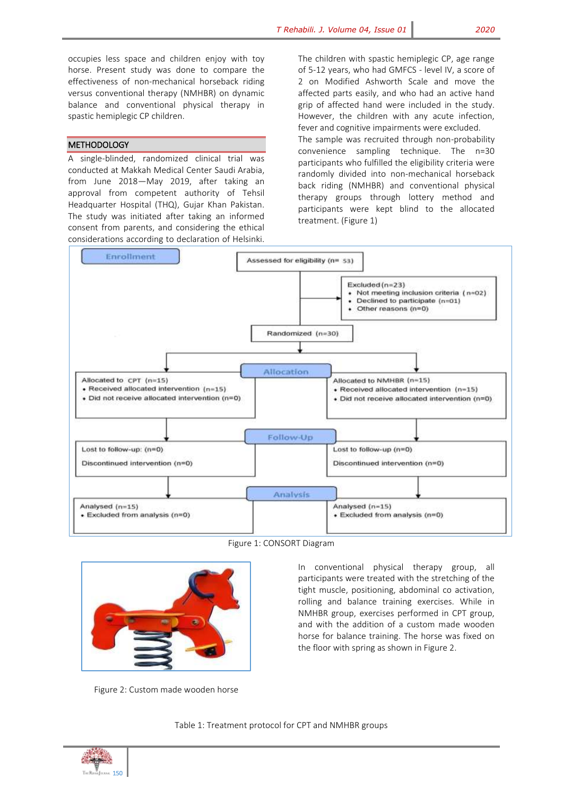occupies less space and children enjoy with toy horse. Present study was done to compare the effectiveness of non-mechanical horseback riding versus conventional therapy (NMHBR) on dynamic balance and conventional physical therapy in spastic hemiplegic CP children.

#### METHODOLOGY

A single-blinded, randomized clinical trial was conducted at Makkah Medical Center Saudi Arabia, from June 2018—May 2019, after taking an approval from competent authority of Tehsil Headquarter Hospital (THQ), Gujar Khan Pakistan. The study was initiated after taking an informed consent from parents, and considering the ethical considerations according to declaration of Helsinki.

The children with spastic hemiplegic CP, age range of 5-12 years, who had GMFCS - level IV, a score of 2 on Modified Ashworth Scale and move the affected parts easily, and who had an active hand grip of affected hand were included in the study. However, the children with any acute infection, fever and cognitive impairments were excluded. The sample was recruited through non-probability convenience sampling technique. The n=30 participants who fulfilled the eligibility criteria were randomly divided into non-mechanical horseback back riding (NMHBR) and conventional physical therapy groups through lottery method and participants were kept blind to the allocated treatment. (Figure 1)



Figure 1: CONSORT Diagram



Figure 2: Custom made wooden horse

In conventional physical therapy group, all participants were treated with the stretching of the tight muscle, positioning, abdominal co activation, rolling and balance training exercises. While in NMHBR group, exercises performed in CPT group, and with the addition of a custom made wooden horse for balance training. The horse was fixed on the floor with spring as shown in Figure 2.

Table 1: Treatment protocol for CPT and NMHBR groups

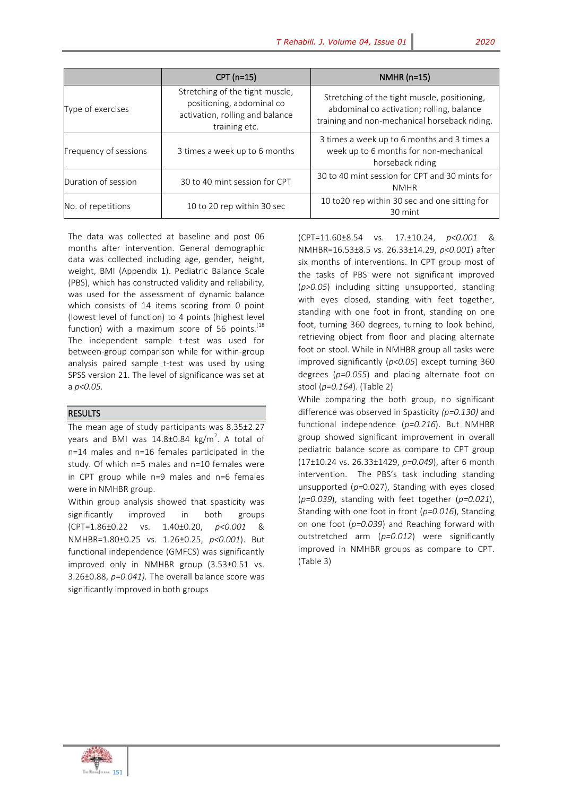|                       | $CPT(n=15)$                                                                                                      | NMHR $(n=15)$                                                                                                                              |
|-----------------------|------------------------------------------------------------------------------------------------------------------|--------------------------------------------------------------------------------------------------------------------------------------------|
| Type of exercises     | Stretching of the tight muscle,<br>positioning, abdominal co<br>activation, rolling and balance<br>training etc. | Stretching of the tight muscle, positioning,<br>abdominal co activation; rolling, balance<br>training and non-mechanical horseback riding. |
| Frequency of sessions | 3 times a week up to 6 months                                                                                    | 3 times a week up to 6 months and 3 times a<br>week up to 6 months for non-mechanical<br>horseback riding                                  |
| Duration of session   | 30 to 40 mint session for CPT                                                                                    | 30 to 40 mint session for CPT and 30 mints for<br><b>NMHR</b>                                                                              |
| No. of repetitions    | 10 to 20 rep within 30 sec                                                                                       | 10 to20 rep within 30 sec and one sitting for<br>30 mint                                                                                   |

The data was collected at baseline and post 06 months after intervention. General demographic data was collected including age, gender, height, weight, BMI (Appendix 1). Pediatric Balance Scale (PBS), which has constructed validity and reliability, was used for the assessment of dynamic balance which consists of 14 items scoring from 0 point (lowest level of function) to 4 points (highest level function) with a maximum score of 56 points. $^{(18)}$ The independent sample t-test was used for between-group comparison while for within-group analysis paired sample t-test was used by using SPSS version 21. The level of significance was set at a *p<0.05.*

### **RESULTS**

The mean age of study participants was 8.35±2.27 years and BMI was  $14.8 \pm 0.84$  kg/m<sup>2</sup>. A total of n=14 males and n=16 females participated in the study. Of which n=5 males and n=10 females were in CPT group while n=9 males and n=6 females were in NMHBR group.

Within group analysis showed that spasticity was significantly improved in both groups (CPT=1.86±0.22 vs. 1.40±0.20, *p<0.001* & NMHBR=1.80±0.25 vs. 1.26±0.25, *p<0.001*). But functional independence (GMFCS) was significantly improved only in NMHBR group (3.53±0.51 vs. 3.26±0.88, *p=0.041).* The overall balance score was significantly improved in both groups

(CPT=11.60±8.54 vs. 17.±10.24, *p<0.001* & NMHBR=16.53±8.5 vs. 26.33±14.29, *p<0.001*) after six months of interventions. In CPT group most of the tasks of PBS were not significant improved (*p>0.05*) including sitting unsupported, standing with eyes closed, standing with feet together, standing with one foot in front, standing on one foot, turning 360 degrees, turning to look behind, retrieving object from floor and placing alternate foot on stool. While in NMHBR group all tasks were improved significantly (*p<0.05*) except turning 360 degrees (*p=0.055*) and placing alternate foot on stool (*p=0.164*). (Table 2)

While comparing the both group, no significant difference was observed in Spasticity *(p=0.130)* and functional independence (*p=0.216*). But NMHBR group showed significant improvement in overall pediatric balance score as compare to CPT group (17±10.24 vs. 26.33±1429, *p=0.049*), after 6 month intervention. The PBS's task including standing unsupported (*p=*0.027), Standing with eyes closed (*p=0.039*), standing with feet together (*p=0.021*), Standing with one foot in front (*p=0.016*), Standing on one foot (*p=0.039*) and Reaching forward with outstretched arm (*p=0.012*) were significantly improved in NMHBR groups as compare to CPT. (Table 3)

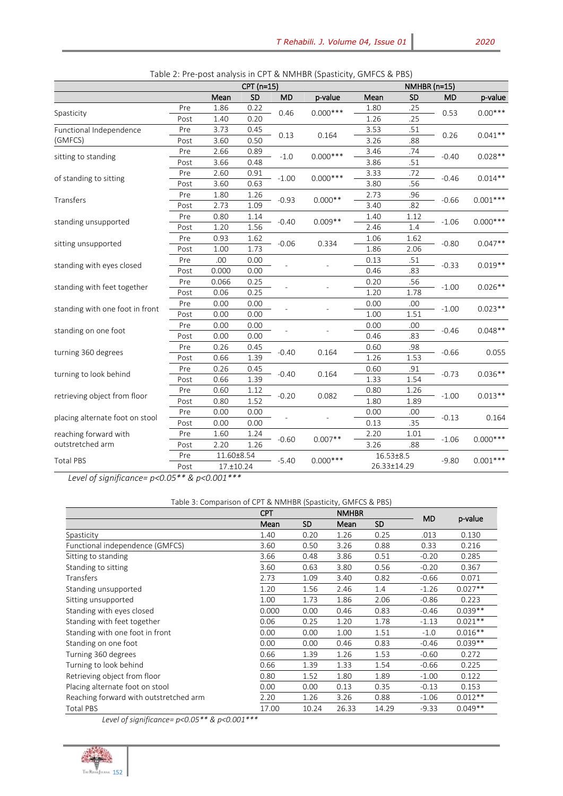|                                 |      |            |      | Table 2. The post analysis in entreatment (spasticity, Givin es $\alpha$ ) bs<br>CPT (n=15) |            |                 |      | NMHBR (n=15) |            |  |
|---------------------------------|------|------------|------|---------------------------------------------------------------------------------------------|------------|-----------------|------|--------------|------------|--|
|                                 |      | Mean       | SD   | <b>MD</b>                                                                                   | p-value    | Mean            | SD   | MD           | p-value    |  |
|                                 | Pre  | 1.86       | 0.22 |                                                                                             | $0.000***$ | 1.80            | .25  | 0.53         | $0.00***$  |  |
| Spasticity                      | Post | 1.40       | 0.20 | 0.46                                                                                        |            | 1.26            | .25  |              |            |  |
| Functional Independence         | Pre  | 3.73       | 0.45 |                                                                                             |            | 3.53            | .51  |              | $0.041**$  |  |
| (GMFCS)                         | Post | 3.60       | 0.50 | 0.13                                                                                        | 0.164      | 3.26            | .88  | 0.26         |            |  |
| sitting to standing             | Pre  | 2.66       | 0.89 |                                                                                             | $0.000***$ | 3.46            | .74  | $-0.40$      | $0.028**$  |  |
|                                 | Post | 3.66       | 0.48 | $-1.0$                                                                                      |            | 3.86            | .51  |              |            |  |
|                                 | Pre  | 2.60       | 0.91 | $-1.00$                                                                                     | $0.000***$ | 3.33            | .72  | $-0.46$      | $0.014**$  |  |
| of standing to sitting          | Post | 3.60       | 0.63 |                                                                                             |            | 3.80            | .56  |              |            |  |
| Transfers                       | Pre  | 1.80       | 1.26 | $-0.93$                                                                                     | $0.000**$  | 2.73            | .96  | $-0.66$      | $0.001***$ |  |
|                                 | Post | 2.73       | 1.09 |                                                                                             |            | 3.40            | .82  |              |            |  |
| standing unsupported            | Pre  | 0.80       | 1.14 | $-0.40$                                                                                     | $0.009**$  | 1.40            | 1.12 | $-1.06$      | $0.000***$ |  |
|                                 | Post | 1.20       | 1.56 |                                                                                             |            | 2.46            | 1.4  |              |            |  |
|                                 | Pre  | 0.93       | 1.62 | $-0.06$                                                                                     | 0.334      | 1.06            | 1.62 | $-0.80$      | $0.047**$  |  |
| sitting unsupported             | Post | 1.00       | 1.73 |                                                                                             |            | 1.86            | 2.06 |              |            |  |
| standing with eyes closed       | Pre  | .00        | 0.00 |                                                                                             |            | 0.13            | .51  | $-0.33$      | $0.019**$  |  |
|                                 | Post | 0.000      | 0.00 |                                                                                             |            | 0.46            | .83  |              |            |  |
| standing with feet together     | Pre  | 0.066      | 0.25 |                                                                                             |            | 0.20            | .56  | $-1.00$      | $0.026**$  |  |
|                                 | Post | 0.06       | 0.25 |                                                                                             |            | 1.20            | 1.78 |              |            |  |
| standing with one foot in front | Pre  | 0.00       | 0.00 |                                                                                             |            | 0.00            | .00  | $-1.00$      | $0.023**$  |  |
|                                 | Post | 0.00       | 0.00 |                                                                                             |            | 1.00            | 1.51 |              |            |  |
| standing on one foot            | Pre  | 0.00       | 0.00 |                                                                                             |            | 0.00            | .00  | $-0.46$      | $0.048**$  |  |
|                                 | Post | 0.00       | 0.00 |                                                                                             |            | 0.46            | .83  |              |            |  |
| turning 360 degrees             | Pre  | 0.26       | 0.45 | $-0.40$                                                                                     | 0.164      | 0.60            | .98  | $-0.66$      | 0.055      |  |
|                                 | Post | 0.66       | 1.39 |                                                                                             |            | 1.26            | 1.53 |              |            |  |
| turning to look behind          | Pre  | 0.26       | 0.45 | $-0.40$                                                                                     | 0.164      | 0.60            | .91  | $-0.73$      | $0.036**$  |  |
|                                 | Post | 0.66       | 1.39 |                                                                                             |            | 1.33            | 1.54 |              |            |  |
| retrieving object from floor    | Pre  | 0.60       | 1.12 | $-0.20$                                                                                     | 0.082      | 0.80            | 1.26 | $-1.00$      | $0.013**$  |  |
|                                 | Post | 0.80       | 1.52 |                                                                                             |            | 1.80            | 1.89 |              |            |  |
| placing alternate foot on stool | Pre  | 0.00       | 0.00 |                                                                                             |            | 0.00            | .00  | $-0.13$      | 0.164      |  |
|                                 | Post | 0.00       | 0.00 |                                                                                             |            | 0.13            | .35  |              |            |  |
| reaching forward with           | Pre  | 1.60       | 1.24 | $-0.60$                                                                                     | $0.007**$  | 2.20            | 1.01 | $-1.06$      | $0.000***$ |  |
| outstretched arm                | Post | 2.20       | 1.26 |                                                                                             |            | 3.26<br>.88     |      |              |            |  |
| <b>Total PBS</b>                | Pre  | 11.60±8.54 |      | $-5.40$                                                                                     | $0.000***$ | $16.53 \pm 8.5$ |      | $-9.80$      | $0.001***$ |  |
|                                 | Post | 17.±10.24  |      |                                                                                             |            | 26.33±14.29     |      |              |            |  |

| Table 2: Pre-post analysis in CPT & NMHBR (Spasticity, GMFCS & PBS) |  |  |  |  |  |  |
|---------------------------------------------------------------------|--|--|--|--|--|--|
|---------------------------------------------------------------------|--|--|--|--|--|--|

*Level of significance= p<0.05\*\* & p<0.001\*\*\**

Table 3: Comparison of CPT & NMHBR (Spasticity, GMFCS & PBS)

|                                        | <b>CPT</b> | <b>NMHBR</b> |       |           | <b>MD</b> |           |
|----------------------------------------|------------|--------------|-------|-----------|-----------|-----------|
|                                        | Mean       | <b>SD</b>    | Mean  | <b>SD</b> |           | p-value   |
| Spasticity                             | 1.40       | 0.20         | 1.26  | 0.25      | .013      | 0.130     |
| Functional independence (GMFCS)        | 3.60       | 0.50         | 3.26  | 0.88      | 0.33      | 0.216     |
| Sitting to standing                    | 3.66       | 0.48         | 3.86  | 0.51      | $-0.20$   | 0.285     |
| Standing to sitting                    | 3.60       | 0.63         | 3.80  | 0.56      | $-0.20$   | 0.367     |
| <b>Transfers</b>                       | 2.73       | 1.09         | 3.40  | 0.82      | $-0.66$   | 0.071     |
| Standing unsupported                   | 1.20       | 1.56         | 2.46  | 1.4       | $-1.26$   | $0.027**$ |
| Sitting unsupported                    | 1.00       | 1.73         | 1.86  | 2.06      | $-0.86$   | 0.223     |
| Standing with eyes closed              | 0.000      | 0.00         | 0.46  | 0.83      | $-0.46$   | $0.039**$ |
| Standing with feet together            | 0.06       | 0.25         | 1.20  | 1.78      | $-1.13$   | $0.021**$ |
| Standing with one foot in front        | 0.00       | 0.00         | 1.00  | 1.51      | $-1.0$    | $0.016**$ |
| Standing on one foot                   | 0.00       | 0.00         | 0.46  | 0.83      | $-0.46$   | $0.039**$ |
| Turning 360 degrees                    | 0.66       | 1.39         | 1.26  | 1.53      | $-0.60$   | 0.272     |
| Turning to look behind                 | 0.66       | 1.39         | 1.33  | 1.54      | $-0.66$   | 0.225     |
| Retrieving object from floor           | 0.80       | 1.52         | 1.80  | 1.89      | $-1.00$   | 0.122     |
| Placing alternate foot on stool        | 0.00       | 0.00         | 0.13  | 0.35      | $-0.13$   | 0.153     |
| Reaching forward with outstretched arm | 2.20       | 1.26         | 3.26  | 0.88      | $-1.06$   | $0.012**$ |
| <b>Total PBS</b>                       | 17.00      | 10.24        | 26.33 | 14.29     | $-9.33$   | $0.049**$ |

*Level of significance= p<0.05\*\* & p<0.001\*\*\**

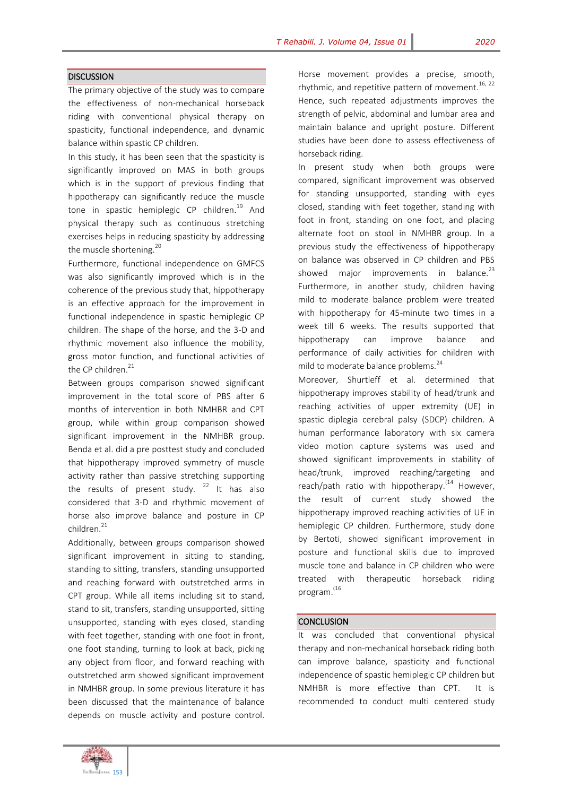## **DISCUSSION**

The primary objective of the study was to compare the effectiveness of non-mechanical horseback riding with conventional physical therapy on spasticity, functional independence, and dynamic balance within spastic CP children.

In this study, it has been seen that the spasticity is significantly improved on MAS in both groups which is in the support of previous finding that hippotherapy can significantly reduce the muscle tone in spastic hemiplegic CP children.<sup>19</sup> And physical therapy such as continuous stretching exercises helps in reducing spasticity by addressing the muscle shortening.<sup>20</sup>

Furthermore, functional independence on GMFCS was also significantly improved which is in the coherence of the previous study that, hippotherapy is an effective approach for the improvement in functional independence in spastic hemiplegic CP children. The shape of the horse, and the 3-D and rhythmic movement also influence the mobility, gross motor function, and functional activities of the CP children. $21$ 

Between groups comparison showed significant improvement in the total score of PBS after 6 months of intervention in both NMHBR and CPT group, while within group comparison showed significant improvement in the NMHBR group. Benda et al. did a pre posttest study and concluded that hippotherapy improved symmetry of muscle activity rather than passive stretching supporting the results of present study.  $22$  It has also considered that 3-D and rhythmic movement of horse also improve balance and posture in CP children.<sup>21</sup>

Additionally, between groups comparison showed significant improvement in sitting to standing, standing to sitting, transfers, standing unsupported and reaching forward with outstretched arms in CPT group. While all items including sit to stand, stand to sit, transfers, standing unsupported, sitting unsupported, standing with eyes closed, standing with feet together, standing with one foot in front, one foot standing, turning to look at back, picking any object from floor, and forward reaching with outstretched arm showed significant improvement in NMHBR group. In some previous literature it has been discussed that the maintenance of balance depends on muscle activity and posture control.

Horse movement provides a precise, smooth, rhythmic, and repetitive pattern of movement.<sup>16, 22</sup> Hence, such repeated adjustments improves the strength of pelvic, abdominal and lumbar area and maintain balance and upright posture. Different studies have been done to assess effectiveness of horseback riding.

In present study when both groups were compared, significant improvement was observed for standing unsupported, standing with eyes closed, standing with feet together, standing with foot in front, standing on one foot, and placing alternate foot on stool in NMHBR group. In a previous study the effectiveness of hippotherapy on balance was observed in CP children and PBS showed major improvements in balance. $^{23}$ Furthermore, in another study, children having mild to moderate balance problem were treated with hippotherapy for 45-minute two times in a week till 6 weeks. The results supported that hippotherapy can improve balance and performance of daily activities for children with mild to moderate balance problems.<sup>24</sup>

Moreover, Shurtleff et al. determined that hippotherapy improves stability of head/trunk and reaching activities of upper extremity (UE) in spastic diplegia cerebral palsy (SDCP) children. A human performance laboratory with six camera video motion capture systems was used and showed significant improvements in stability of head/trunk, improved reaching/targeting and reach/path ratio with hippotherapy.<sup>(14</sup> However, the result of current study showed the hippotherapy improved reaching activities of UE in hemiplegic CP children. Furthermore, study done by Bertoti, showed significant improvement in posture and functional skills due to improved muscle tone and balance in CP children who were treated with therapeutic horseback riding program. (16

### **CONCLUSION**

It was concluded that conventional physical therapy and non-mechanical horseback riding both can improve balance, spasticity and functional independence of spastic hemiplegic CP children but NMHBR is more effective than CPT. It is recommended to conduct multi centered study